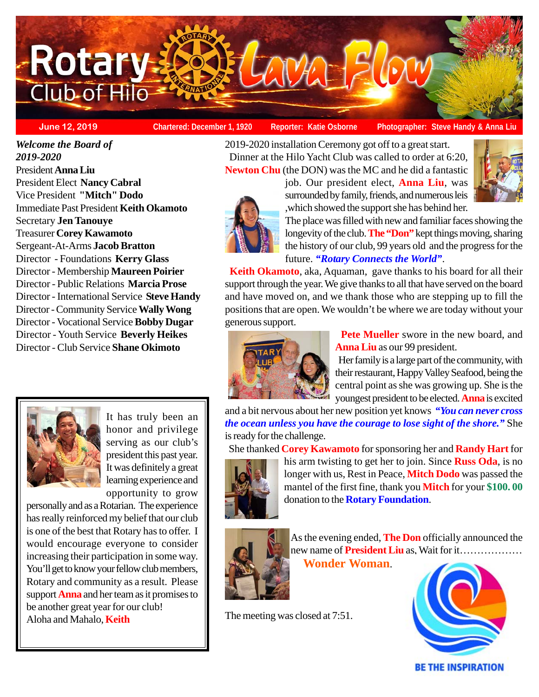

**June 12, 2019 Chartered: December 1, 1920 Reporter: Katie Osborne**

**Photographer: Steve Handy & Anna Liu**

*Welcome the Board of 2019-2020* President **Anna Liu** President Elect **Nancy Cabral** Vice President **"Mitch" Dodo** Immediate Past President **Keith Okamoto** Secretary **Jen Tanouye** Treasurer **Corey Kawamoto** Sergeant-At-Arms **Jacob Bratton** Director - Foundations **Kerry Glass** Director - Membership **Maureen Poirier** Director - Public Relations **Marcia Prose** Director - International Service **Steve Handy** Director - Community Service **Wally Wong** Director - Vocational Service **Bobby Dugar** Director - Youth Service **Beverly Heikes** Director - Club Service **Shane Okimoto**



It has truly been an honor and privilege serving as our club's president this past year. It was definitely a great learning experience and opportunity to grow

personally and as a Rotarian. The experience has really reinforced my belief that our club is one of the best that Rotary has to offer. I would encourage everyone to consider increasing their participation in some way. You'll get to know your fellow club members, Rotary and community as a result. Please support **Anna** and her team as it promises to be another great year for our club! Aloha and Mahalo, **Keith**

2019-2020 installation Ceremony got off to a great start. Dinner at the Hilo Yacht Club was called to order at 6:20, **Newton Chu** (the DON) was the MC and he did a fantastic

> job. Our president elect, **Anna Liu**, was surrounded by family, friends, and numerous leis ,which showed the support she has behind her.





The place was filled with new and familiar faces showing the longevity of the club. **The "Don"** kept things moving, sharing the history of our club, 99 years old and the progress for the future. *"Rotary Connects the World"*.

 **Keith Okamoto**, aka, Aquaman, gave thanks to his board for all their support through the year. We give thanks to all that have served on the board and have moved on, and we thank those who are stepping up to fill the positions that are open. We wouldn't be where we are today without your generous support.



**Pete Mueller** swore in the new board, and **Anna Liu** as our 99 president.

 Her family is a large part of the community, with their restaurant, Happy Valley Seafood, being the central point as she was growing up. She is the youngest president to be elected. **Anna** is excited

and a bit nervous about her new position yet knows *"You can never cross the ocean unless you have the courage to lose sight of the shore."* She is ready for the challenge.

She thanked **Corey Kawamoto** for sponsoring her and **Randy Hart** for



his arm twisting to get her to join. Since **Russ Oda**, is no longer with us, Rest in Peace, **Mitch Dodo** was passed the mantel of the first fine, thank you **Mitch** for your **\$100. 00** donation to the **Rotary Foundation**.



As the evening ended, **The Don** officially announced the new name of **President Liu** as, Wait for it………………  **Wonder Woman**.

**BE THE INSPIRATION** 

The meeting was closed at 7:51.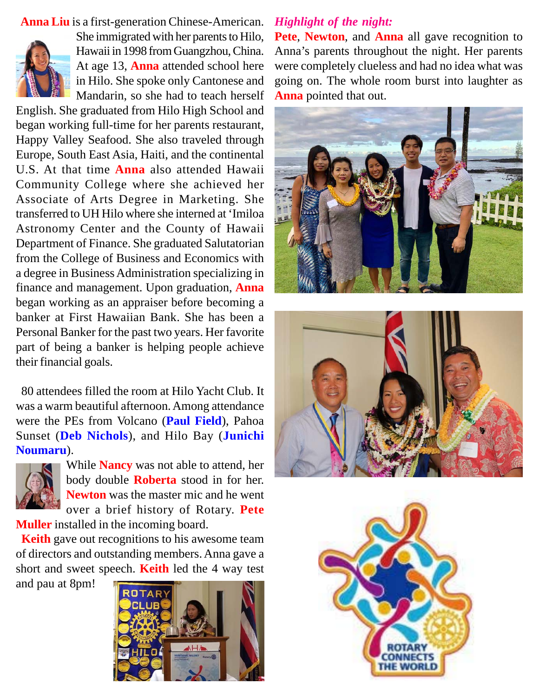**Anna Liu** is a first-generation Chinese-American.



She immigrated with her parents to Hilo, Hawaii in 1998 from Guangzhou, China. At age 13, **Anna** attended school here in Hilo. She spoke only Cantonese and Mandarin, so she had to teach herself

English. She graduated from Hilo High School and began working full-time for her parents restaurant, Happy Valley Seafood. She also traveled through Europe, South East Asia, Haiti, and the continental U.S. At that time **Anna** also attended Hawaii Community College where she achieved her Associate of Arts Degree in Marketing. She transferred to UH Hilo where she interned at 'Imiloa Astronomy Center and the County of Hawaii Department of Finance. She graduated Salutatorian from the College of Business and Economics with a degree in Business Administration specializing in finance and management. Upon graduation, **Anna** began working as an appraiser before becoming a banker at First Hawaiian Bank. She has been a Personal Banker for the past two years. Her favorite part of being a banker is helping people achieve their financial goals.

 80 attendees filled the room at Hilo Yacht Club. It was a warm beautiful afternoon. Among attendance were the PEs from Volcano (**Paul Field**), Pahoa Sunset (**Deb Nichols**), and Hilo Bay (**Junichi Noumaru**).



While **Nancy** was not able to attend, her body double **Roberta** stood in for her. **Newton** was the master mic and he went over a brief history of Rotary. **Pete**

**Muller** installed in the incoming board.

 **Keith** gave out recognitions to his awesome team of directors and outstanding members. Anna gave a short and sweet speech. **Keith** led the 4 way test and pau at 8pm!



# *Highlight of the night:*

**Pete**, **Newton**, and **Anna** all gave recognition to Anna's parents throughout the night. Her parents were completely clueless and had no idea what was going on. The whole room burst into laughter as **Anna** pointed that out.